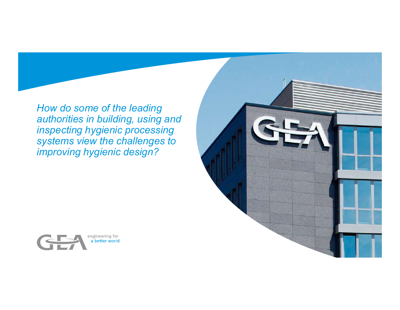How do some of the leading authorities in building, using and inspecting hygienic processing systems view the challenges to improving hygienic design?



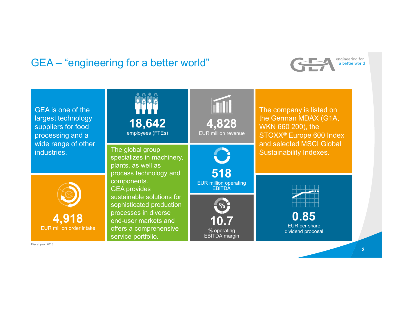



2 and 2 and 2 and 2 and 2 and 2 and 2 and 2 and 2 and 2 and 2 and 2 and 2 and 2 and 2 and 2 and 2 and 2 and 2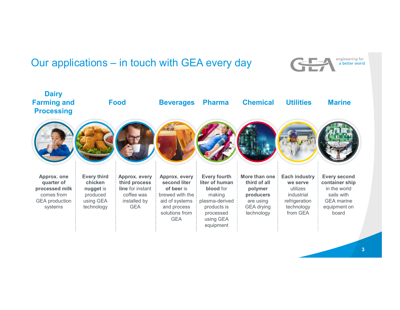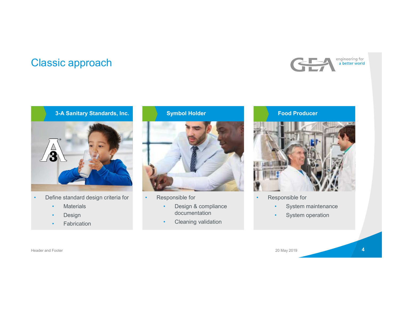# Classic approach





- -
	- Design
	-

Symbol Holder



- - documentation and the set of the set of the set of the set of the set of the set of the set of the set of the set of the set of the set of the set of the set of the set of the set of the set of the set of the set of the se
- Fabrication **•** Cleaning validation





- -
	- System operation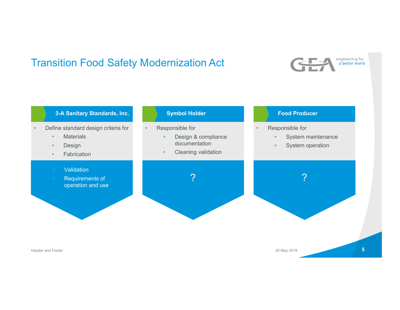# Transition Food Safety Modernization Act



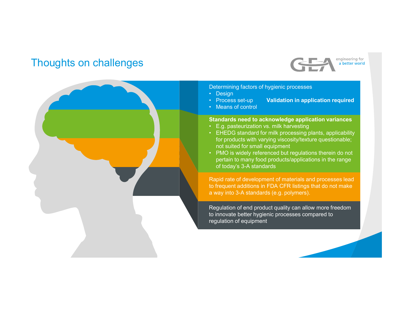# Thoughts on challenges



Determining factors of hygienic processes

- 
- 
- 

## Standards need to acknowledge application variances

- 
- **Example 19 Setter World Concerned Concerned Concerned Concerned Concerned Concerned Concerned Concerned Concerned Concerned Concerned Concerned Concerned Concerned Concerned Concerned Concerned Concerned Concerned Concern Determining factors of hygienic processes**<br>• Design<br>• Process set-up<br>• Validation in application required<br>• Means of control<br>• E.g. pasteurization vs. milk harvesting<br>• E.HEDG standard for milk processing plants, applicab for products with varying viscosity/texture questionable; not suited for small equipment
- **Example 19 Follows** Chromosopher and the control<br>
Process set-up **Validation in application required**<br>
Process set-up **Validation in application required**<br>
E.g. pasteurization vs. milk harvesting<br>
E.HEDG standard pertain to many food products/applications in the range of today's 3-A standards

Rapid rate of development of materials and processes lead to frequent additions in FDA CFR listings that do not make a way into 3-A standards (e.g. polymers).

Regulation of end product quality can allow more freedom to innovate better hygienic processes compared to regulation of equipment

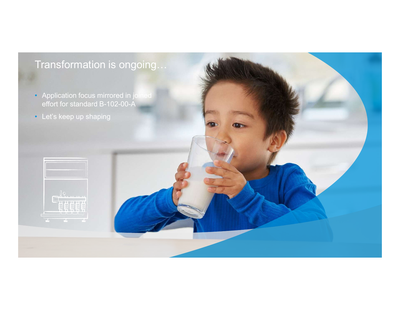